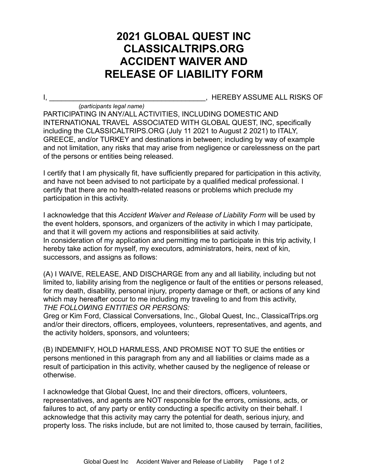## **2021 GLOBAL QUEST INC CLASSICALTRIPS.ORG ACCIDENT WAIVER AND RELEASE OF LIABILITY FORM**

I, \_\_\_\_\_\_\_\_\_\_\_\_\_\_\_\_\_\_\_\_\_\_\_\_\_\_\_\_\_\_\_\_\_\_\_\_\_\_\_, HEREBY ASSUME ALL RISKS OF

 *(participants legal name)*  PARTICIPATING IN ANY/ALL ACTIVITIES, INCLUDING DOMESTIC AND INTERNATIONAL TRAVEL ASSOCIATED WITH GLOBAL QUEST, INC, specifically including the CLASSICALTRIPS.ORG (July 11 2021 to August 2 2021) to ITALY, GREECE, and/or TURKEY and destinations in between; including by way of example and not limitation, any risks that may arise from negligence or carelessness on the part of the persons or entities being released.

I certify that I am physically fit, have sufficiently prepared for participation in this activity, and have not been advised to not participate by a qualified medical professional. I certify that there are no health-related reasons or problems which preclude my participation in this activity.

I acknowledge that this *Accident Waiver and Release of Liability Form* will be used by the event holders, sponsors, and organizers of the activity in which I may participate, and that it will govern my actions and responsibilities at said activity. In consideration of my application and permitting me to participate in this trip activity, I hereby take action for myself, my executors, administrators, heirs, next of kin, successors, and assigns as follows:

(A) I WAIVE, RELEASE, AND DISCHARGE from any and all liability, including but not limited to, liability arising from the negligence or fault of the entities or persons released, for my death, disability, personal injury, property damage or theft, or actions of any kind which may hereafter occur to me including my traveling to and from this activity. *THE FOLLOWING ENTITIES OR PERSONS:* 

Greg or Kim Ford, Classical Conversations, Inc., Global Quest, Inc., [ClassicalTrips.org](http://ClassicalTrips.org)  and/or their directors, officers, employees, volunteers, representatives, and agents, and the activity holders, sponsors, and volunteers;

(B) INDEMNIFY, HOLD HARMLESS, AND PROMISE NOT TO SUE the entities or persons mentioned in this paragraph from any and all liabilities or claims made as a result of participation in this activity, whether caused by the negligence of release or otherwise.

I acknowledge that Global Quest, Inc and their directors, officers, volunteers, representatives, and agents are NOT responsible for the errors, omissions, acts, or failures to act, of any party or entity conducting a specific activity on their behalf. I acknowledge that this activity may carry the potential for death, serious injury, and property loss. The risks include, but are not limited to, those caused by terrain, facilities,